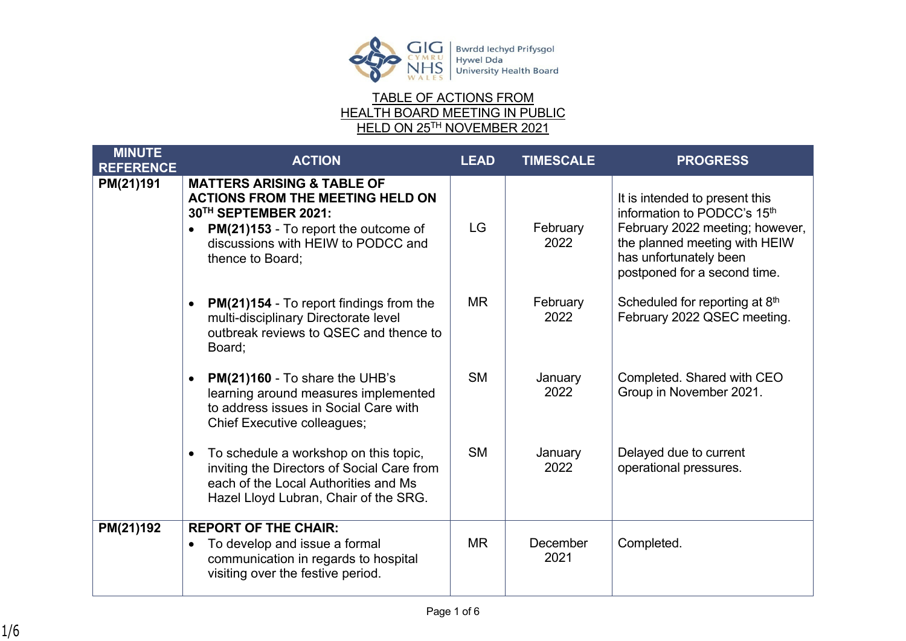

## TABLE OF ACTIONS FROM HEALTH BOARD MEETING IN PUBLIC HELD ON 25TH NOVEMBER 2021

| <b>MINUTE</b><br><b>REFERENCE</b> | <b>ACTION</b>                                                                                                                                                                                                           | <b>LEAD</b> | <b>TIMESCALE</b>        | <b>PROGRESS</b>                                                                                                                                                                             |
|-----------------------------------|-------------------------------------------------------------------------------------------------------------------------------------------------------------------------------------------------------------------------|-------------|-------------------------|---------------------------------------------------------------------------------------------------------------------------------------------------------------------------------------------|
| PM(21)191                         | <b>MATTERS ARISING &amp; TABLE OF</b><br><b>ACTIONS FROM THE MEETING HELD ON</b><br>30TH SEPTEMBER 2021:<br>PM(21)153 - To report the outcome of<br>$\bullet$<br>discussions with HEIW to PODCC and<br>thence to Board; | <b>LG</b>   | February<br>2022        | It is intended to present this<br>information to PODCC's 15th<br>February 2022 meeting; however,<br>the planned meeting with HEIW<br>has unfortunately been<br>postponed for a second time. |
|                                   | <b>PM(21)154 - To report findings from the</b><br>multi-disciplinary Directorate level<br>outbreak reviews to QSEC and thence to<br>Board;                                                                              | MR.         | February<br>2022        | Scheduled for reporting at 8th<br>February 2022 QSEC meeting.                                                                                                                               |
|                                   | PM(21)160 - To share the UHB's<br>learning around measures implemented<br>to address issues in Social Care with<br><b>Chief Executive colleagues;</b>                                                                   | <b>SM</b>   | January<br>2022         | Completed. Shared with CEO<br>Group in November 2021.                                                                                                                                       |
|                                   | To schedule a workshop on this topic,<br>$\bullet$<br>inviting the Directors of Social Care from<br>each of the Local Authorities and Ms<br>Hazel Lloyd Lubran, Chair of the SRG.                                       | <b>SM</b>   | January<br>2022         | Delayed due to current<br>operational pressures.                                                                                                                                            |
| PM(21)192                         | <b>REPORT OF THE CHAIR:</b><br>To develop and issue a formal<br>$\bullet$<br>communication in regards to hospital<br>visiting over the festive period.                                                                  | <b>MR</b>   | <b>December</b><br>2021 | Completed.                                                                                                                                                                                  |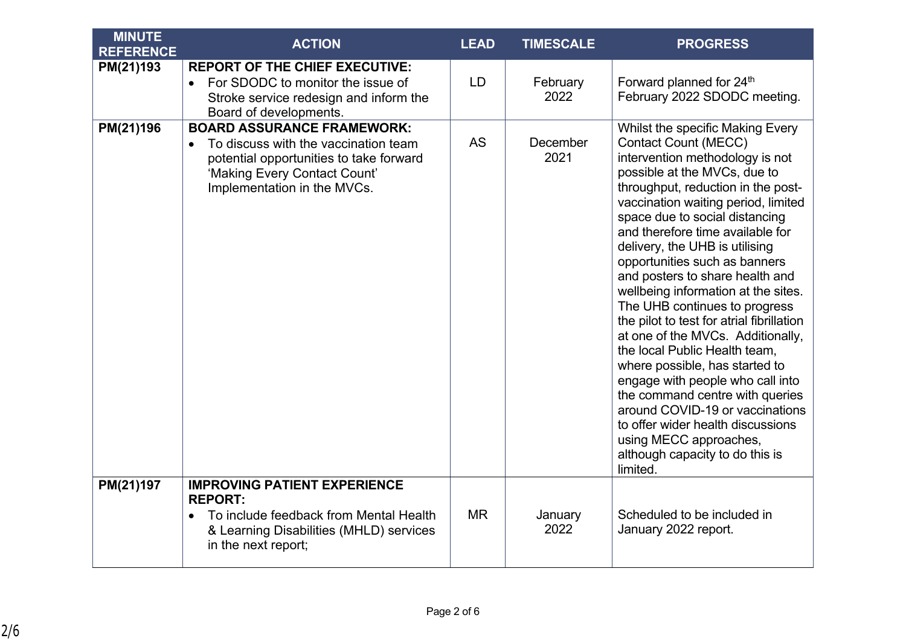| <b>MINUTE</b><br><b>REFERENCE</b> | <b>ACTION</b>                                                                                                                                                                                    | <b>LEAD</b> | <b>TIMESCALE</b> | <b>PROGRESS</b>                                                                                                                                                                                                                                                                                                                                                                                                                                                                                                                                                                                                                                                                                                                                                                                                                                  |
|-----------------------------------|--------------------------------------------------------------------------------------------------------------------------------------------------------------------------------------------------|-------------|------------------|--------------------------------------------------------------------------------------------------------------------------------------------------------------------------------------------------------------------------------------------------------------------------------------------------------------------------------------------------------------------------------------------------------------------------------------------------------------------------------------------------------------------------------------------------------------------------------------------------------------------------------------------------------------------------------------------------------------------------------------------------------------------------------------------------------------------------------------------------|
| PM(21)193                         | <b>REPORT OF THE CHIEF EXECUTIVE:</b><br>For SDODC to monitor the issue of<br>$\bullet$<br>Stroke service redesign and inform the<br>Board of developments.                                      | LD          | February<br>2022 | Forward planned for 24 <sup>th</sup><br>February 2022 SDODC meeting.                                                                                                                                                                                                                                                                                                                                                                                                                                                                                                                                                                                                                                                                                                                                                                             |
| PM(21)196                         | <b>BOARD ASSURANCE FRAMEWORK:</b><br>To discuss with the vaccination team<br>$\bullet$<br>potential opportunities to take forward<br>'Making Every Contact Count'<br>Implementation in the MVCs. | <b>AS</b>   | December<br>2021 | Whilst the specific Making Every<br><b>Contact Count (MECC)</b><br>intervention methodology is not<br>possible at the MVCs, due to<br>throughput, reduction in the post-<br>vaccination waiting period, limited<br>space due to social distancing<br>and therefore time available for<br>delivery, the UHB is utilising<br>opportunities such as banners<br>and posters to share health and<br>wellbeing information at the sites.<br>The UHB continues to progress<br>the pilot to test for atrial fibrillation<br>at one of the MVCs. Additionally,<br>the local Public Health team,<br>where possible, has started to<br>engage with people who call into<br>the command centre with queries<br>around COVID-19 or vaccinations<br>to offer wider health discussions<br>using MECC approaches,<br>although capacity to do this is<br>limited. |
| PM(21)197                         | <b>IMPROVING PATIENT EXPERIENCE</b><br><b>REPORT:</b><br>To include feedback from Mental Health<br>& Learning Disabilities (MHLD) services<br>in the next report;                                | <b>MR</b>   | January<br>2022  | Scheduled to be included in<br>January 2022 report.                                                                                                                                                                                                                                                                                                                                                                                                                                                                                                                                                                                                                                                                                                                                                                                              |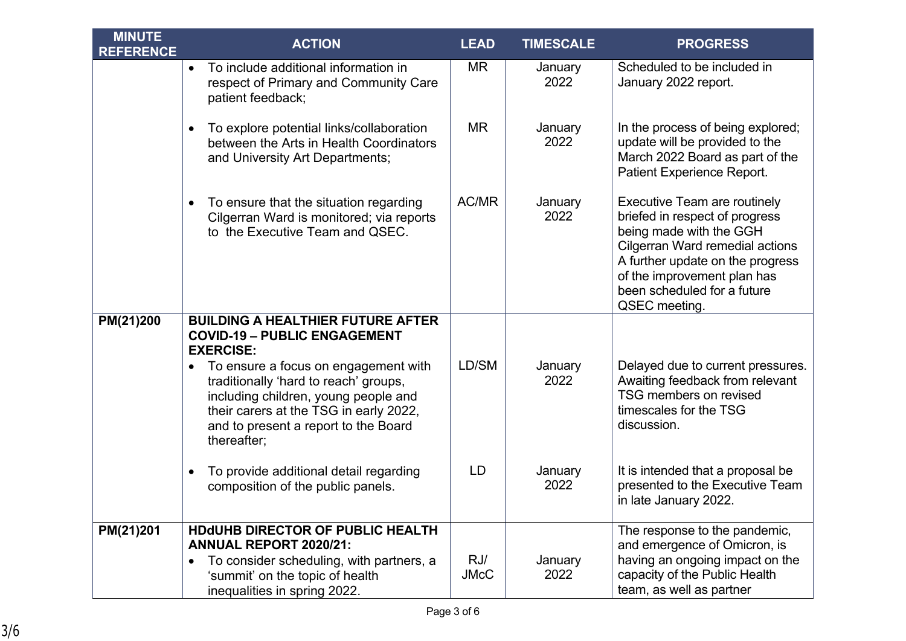| <b>MINUTE</b><br><b>REFERENCE</b> | <b>ACTION</b>                                                                                                                                                                                                                                                                                                                              | <b>LEAD</b> | <b>TIMESCALE</b> | <b>PROGRESS</b>                                                                                                                                                                                                                                        |
|-----------------------------------|--------------------------------------------------------------------------------------------------------------------------------------------------------------------------------------------------------------------------------------------------------------------------------------------------------------------------------------------|-------------|------------------|--------------------------------------------------------------------------------------------------------------------------------------------------------------------------------------------------------------------------------------------------------|
|                                   | To include additional information in<br>$\bullet$<br>respect of Primary and Community Care<br>patient feedback;                                                                                                                                                                                                                            | <b>MR</b>   | January<br>2022  | Scheduled to be included in<br>January 2022 report.                                                                                                                                                                                                    |
|                                   | To explore potential links/collaboration<br>$\bullet$<br>between the Arts in Health Coordinators<br>and University Art Departments;                                                                                                                                                                                                        | <b>MR</b>   | January<br>2022  | In the process of being explored;<br>update will be provided to the<br>March 2022 Board as part of the<br>Patient Experience Report.                                                                                                                   |
|                                   | To ensure that the situation regarding<br>$\bullet$<br>Cilgerran Ward is monitored; via reports<br>to the Executive Team and QSEC.                                                                                                                                                                                                         | AC/MR       | January<br>2022  | <b>Executive Team are routinely</b><br>briefed in respect of progress<br>being made with the GGH<br>Cilgerran Ward remedial actions<br>A further update on the progress<br>of the improvement plan has<br>been scheduled for a future<br>QSEC meeting. |
| PM(21)200                         | <b>BUILDING A HEALTHIER FUTURE AFTER</b><br><b>COVID-19 - PUBLIC ENGAGEMENT</b><br><b>EXERCISE:</b><br>To ensure a focus on engagement with<br>$\bullet$<br>traditionally 'hard to reach' groups,<br>including children, young people and<br>their carers at the TSG in early 2022,<br>and to present a report to the Board<br>thereafter; | LD/SM       | January<br>2022  | Delayed due to current pressures.<br>Awaiting feedback from relevant<br>TSG members on revised<br>timescales for the TSG<br>discussion.                                                                                                                |
|                                   | To provide additional detail regarding<br>$\bullet$<br>composition of the public panels.                                                                                                                                                                                                                                                   | LD          | January<br>2022  | It is intended that a proposal be<br>presented to the Executive Team<br>in late January 2022.                                                                                                                                                          |
| PM(21)201                         | <b>HDdUHB DIRECTOR OF PUBLIC HEALTH</b><br><b>ANNUAL REPORT 2020/21:</b><br>To consider scheduling, with partners, a<br>$\bullet$                                                                                                                                                                                                          | RJ/         | January          | The response to the pandemic,<br>and emergence of Omicron, is<br>having an ongoing impact on the                                                                                                                                                       |
|                                   | 'summit' on the topic of health<br>inequalities in spring 2022.                                                                                                                                                                                                                                                                            | <b>JMcC</b> | 2022             | capacity of the Public Health<br>team, as well as partner                                                                                                                                                                                              |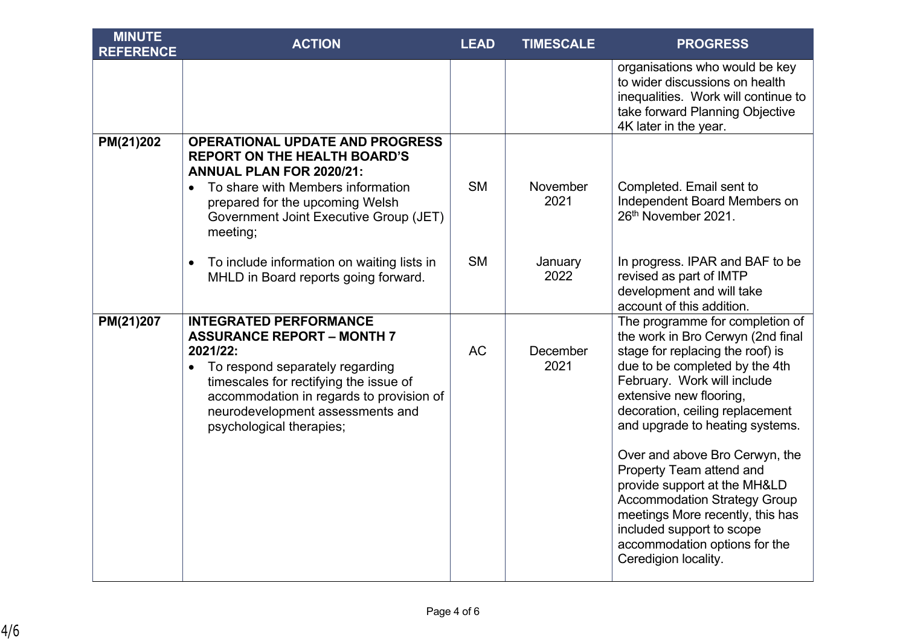| <b>MINUTE</b><br><b>REFERENCE</b> | <b>ACTION</b>                                                                                                                                                                                                                                                           | <b>LEAD</b> | <b>TIMESCALE</b> | <b>PROGRESS</b>                                                                                                                                                                                                                                                            |
|-----------------------------------|-------------------------------------------------------------------------------------------------------------------------------------------------------------------------------------------------------------------------------------------------------------------------|-------------|------------------|----------------------------------------------------------------------------------------------------------------------------------------------------------------------------------------------------------------------------------------------------------------------------|
|                                   |                                                                                                                                                                                                                                                                         |             |                  | organisations who would be key<br>to wider discussions on health<br>inequalities. Work will continue to<br>take forward Planning Objective<br>4K later in the year.                                                                                                        |
| PM(21)202                         | <b>OPERATIONAL UPDATE AND PROGRESS</b><br><b>REPORT ON THE HEALTH BOARD'S</b><br><b>ANNUAL PLAN FOR 2020/21:</b><br>To share with Members information<br>$\bullet$                                                                                                      | <b>SM</b>   | November         | Completed. Email sent to                                                                                                                                                                                                                                                   |
|                                   | prepared for the upcoming Welsh<br>Government Joint Executive Group (JET)<br>meeting;                                                                                                                                                                                   |             | 2021             | Independent Board Members on<br>26th November 2021.                                                                                                                                                                                                                        |
|                                   | To include information on waiting lists in<br>$\bullet$<br>MHLD in Board reports going forward.                                                                                                                                                                         | <b>SM</b>   | January<br>2022  | In progress. IPAR and BAF to be<br>revised as part of IMTP<br>development and will take<br>account of this addition.                                                                                                                                                       |
| PM(21)207                         | <b>INTEGRATED PERFORMANCE</b><br><b>ASSURANCE REPORT - MONTH 7</b><br>2021/22:<br>To respond separately regarding<br>timescales for rectifying the issue of<br>accommodation in regards to provision of<br>neurodevelopment assessments and<br>psychological therapies; | <b>AC</b>   | December<br>2021 | The programme for completion of<br>the work in Bro Cerwyn (2nd final<br>stage for replacing the roof) is<br>due to be completed by the 4th<br>February. Work will include<br>extensive new flooring,<br>decoration, ceiling replacement<br>and upgrade to heating systems. |
|                                   |                                                                                                                                                                                                                                                                         |             |                  | Over and above Bro Cerwyn, the<br>Property Team attend and<br>provide support at the MH&LD<br><b>Accommodation Strategy Group</b><br>meetings More recently, this has<br>included support to scope<br>accommodation options for the<br>Ceredigion locality.                |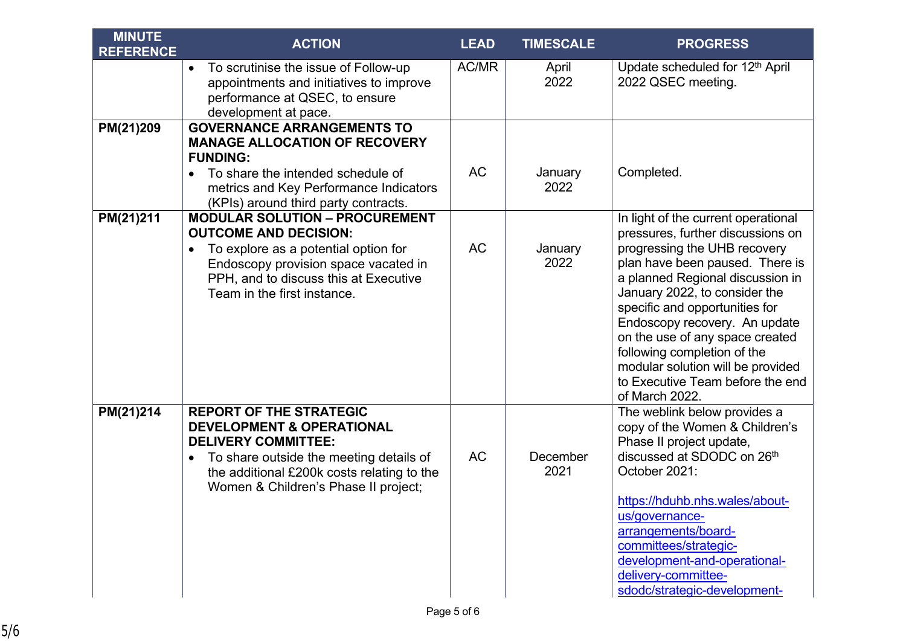| <b>MINUTE</b><br><b>REFERENCE</b> | <b>ACTION</b>                                                                                                                                                                                                                                      | <b>LEAD</b> | <b>TIMESCALE</b> | <b>PROGRESS</b>                                                                                                                                                                                                                                                                                                                                                                                                                                  |
|-----------------------------------|----------------------------------------------------------------------------------------------------------------------------------------------------------------------------------------------------------------------------------------------------|-------------|------------------|--------------------------------------------------------------------------------------------------------------------------------------------------------------------------------------------------------------------------------------------------------------------------------------------------------------------------------------------------------------------------------------------------------------------------------------------------|
|                                   | To scrutinise the issue of Follow-up<br>$\bullet$<br>appointments and initiatives to improve<br>performance at QSEC, to ensure<br>development at pace.                                                                                             | AC/MR       | April<br>2022    | Update scheduled for 12 <sup>th</sup> April<br>2022 QSEC meeting.                                                                                                                                                                                                                                                                                                                                                                                |
| PM(21)209                         | <b>GOVERNANCE ARRANGEMENTS TO</b><br><b>MANAGE ALLOCATION OF RECOVERY</b><br><b>FUNDING:</b><br>To share the intended schedule of<br>metrics and Key Performance Indicators<br>(KPIs) around third party contracts.                                | <b>AC</b>   | January<br>2022  | Completed.                                                                                                                                                                                                                                                                                                                                                                                                                                       |
| PM(21)211                         | <b>MODULAR SOLUTION - PROCUREMENT</b><br><b>OUTCOME AND DECISION:</b><br>To explore as a potential option for<br>Endoscopy provision space vacated in<br>PPH, and to discuss this at Executive<br>Team in the first instance.                      | <b>AC</b>   | January<br>2022  | In light of the current operational<br>pressures, further discussions on<br>progressing the UHB recovery<br>plan have been paused. There is<br>a planned Regional discussion in<br>January 2022, to consider the<br>specific and opportunities for<br>Endoscopy recovery. An update<br>on the use of any space created<br>following completion of the<br>modular solution will be provided<br>to Executive Team before the end<br>of March 2022. |
| PM(21)214                         | <b>REPORT OF THE STRATEGIC</b><br><b>DEVELOPMENT &amp; OPERATIONAL</b><br><b>DELIVERY COMMITTEE:</b><br>To share outside the meeting details of<br>$\bullet$<br>the additional £200k costs relating to the<br>Women & Children's Phase II project; | <b>AC</b>   | December<br>2021 | The weblink below provides a<br>copy of the Women & Children's<br>Phase II project update,<br>discussed at SDODC on 26th<br>October 2021:<br>https://hduhb.nhs.wales/about-<br>us/governance-<br>arrangements/board-<br>committees/strategic-<br>development-and-operational-<br>delivery-committee-<br>sdodc/strategic-development-                                                                                                             |